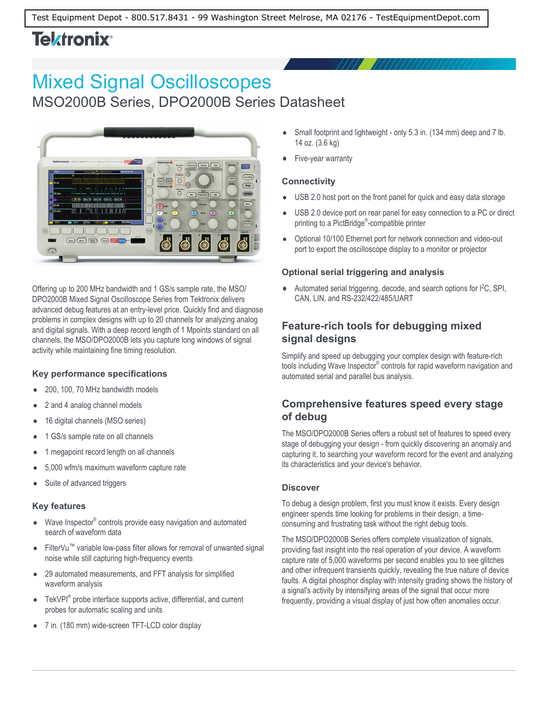# **Tektronix**<sup>®</sup>

# Mixed Signal Oscilloscopes

MSO2000B Series, DPO2000B Series Datasheet



Offering up to 200 MHz bandwidth and 1 GS/s sample rate, the MSO/ DPO2000B Mixed Signal Oscilloscope Series from Tektronix delivers advanced debug features at an entry-level price. Quickly find and diagnose problems in complex designs with up to 20 channels for analyzing analog and digital signals. With a deep record length of 1 Mpoints standard on all channels, the MSO/DPO2000B lets you capture long windows of signal activity while maintaining fine timing resolution.

### **Key performance specifications**

- 200, 100, 70 MHz bandwidth models
- 2 and 4 analog channel models
- 16 digital channels (MSO series)
- 1 GS/s sample rate on all channels
- 1 megapoint record length on all channels
- 5,000 wfm/s maximum waveform capture rate
- Suite of advanced triggers

#### **Key features**

- Wave Inspector® controls provide easy navigation and automated search of waveform data
- FilterVu™ variable low-pass filter allows for removal of unwanted signal noise while still capturing high-frequency events
- $\bullet$ 29 automated measurements, and FFT analysis for simplified waveform analysis
- TekVPI<sup>®</sup> probe interface supports active, differential, and current  $\bullet$ probes for automatic scaling and units
- 7 in. (180 mm) wide-screen TFT-LCD color display  $\bullet$
- Small footprint and lightweight only 5.3 in. (134 mm) deep and 7 lb. 14 oz. (3.6 kg)
- Five-year warranty

### **Connectivity**

- USB 2.0 host port on the front panel for quick and easy data storage
- $\bullet$ USB 2.0 device port on rear panel for easy connection to a PC or direct printing to a PictBridge® -compatible printer
- Optional 10/100 Ethernet port for network connection and video-out port to export the oscilloscope display to a monitor or projector

#### **Optional serial triggering and analysis**

 $\bullet$ Automated serial triggering, decode, and search options for I<sup>2</sup>C, SPI, CAN, LIN, and RS-232/422/485/UART

### **Feature-rich tools for debugging mixed signal designs**

Simplify and speed up debugging your complex design with feature-rich tools including Wave Inspector® controls for rapid waveform navigation and automated serial and parallel bus analysis.

### **Comprehensive features speed every stage of debug**

The MSO/DPO2000B Series offers a robust set of features to speed every stage of debugging your design - from quickly discovering an anomaly and capturing it, to searching your waveform record for the event and analyzing its characteristics and your device's behavior.

#### **Discover**

To debug a design problem, first you must know it exists. Every design engineer spends time looking for problems in their design, a timeconsuming and frustrating task without the right debug tools.

The MSO/DPO2000B Series offers complete visualization of signals, providing fast insight into the real operation of your device. A waveform capture rate of 5,000 waveforms per second enables you to see glitches and other infrequent transients quickly, revealing the true nature of device faults. A digital phosphor display with intensity grading shows the history of a signal's activity by intensifying areas of the signal that occur more frequently, providing a visual display of just how often anomalies occur.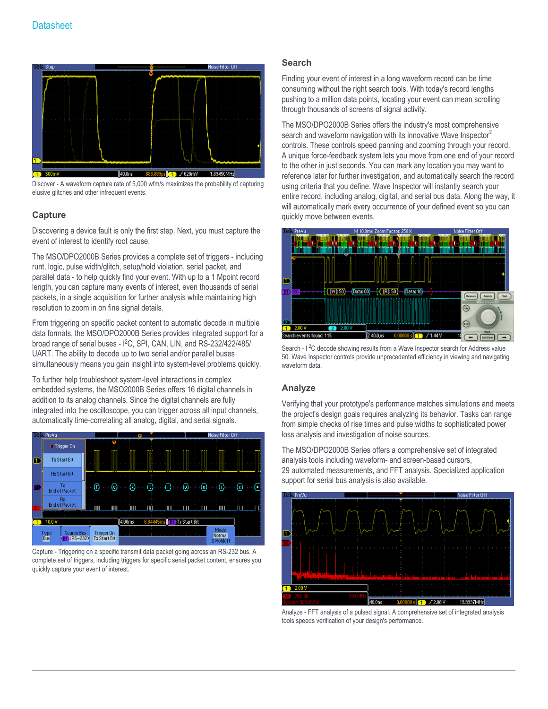

Discover - A waveform capture rate of 5,000 wfm/s maximizes the probability of capturing elusive glitches and other infrequent events.

#### **Capture**

Discovering a device fault is only the first step. Next, you must capture the event of interest to identify root cause.

The MSO/DPO2000B Series provides a complete set of triggers - including runt, logic, pulse width/glitch, setup/hold violation, serial packet, and parallel data - to help quickly find your event. With up to a 1 Mpoint record length, you can capture many events of interest, even thousands of serial packets, in a single acquisition for further analysis while maintaining high resolution to zoom in on fine signal details.

From triggering on specific packet content to automatic decode in multiple data formats, the MSO/DPO2000B Series provides integrated support for a broad range of serial buses - I<sup>2</sup>C, SPI, CAN, LIN, and RS-232/422/485/ UART. The ability to decode up to two serial and/or parallel buses simultaneously means you gain insight into system-level problems quickly.

To further help troubleshoot system-level interactions in complex embedded systems, the MSO2000B Series offers 16 digital channels in addition to its analog channels. Since the digital channels are fully integrated into the oscilloscope, you can trigger across all input channels, automatically time-correlating all analog, digital, and serial signals.



Capture - Triggering on a specific transmit data packet going across an RS-232 bus. A complete set of triggers, including triggers for specific serial packet content, ensures you quickly capture your event of interest.

#### **Search**

Finding your event of interest in a long waveform record can be time consuming without the right search tools. With today's record lengths pushing to a million data points, locating your event can mean scrolling through thousands of screens of signal activity.

The MSO/DPO2000B Series offers the industry's most comprehensive search and waveform navigation with its innovative Wave Inspector<sup>®</sup> controls. These controls speed panning and zooming through your record. A unique force-feedback system lets you move from one end of your record to the other in just seconds. You can mark any location you may want to reference later for further investigation, and automatically search the record using criteria that you define. Wave Inspector will instantly search your entire record, including analog, digital, and serial bus data. Along the way, it will automatically mark every occurrence of your defined event so you can quickly move between events.



Search - I<sup>2</sup>C decode showing results from a Wave Inspector search for Address value 50. Wave Inspector controls provide unprecedented efficiency in viewing and navigating waveform data

#### **Analyze**

Verifying that your prototype's performance matches simulations and meets the project's design goals requires analyzing its behavior. Tasks can range from simple checks of rise times and pulse widths to sophisticated power loss analysis and investigation of noise sources.

The MSO/DPO2000B Series offers a comprehensive set of integrated analysis tools including waveform- and screen-based cursors, 29 automated measurements, and FFT analysis. Specialized application support for serial bus analysis is also available.



Analyze - FFT analysis of a pulsed signal. A comprehensive set of integrated analysis tools speeds verification of your design's performance.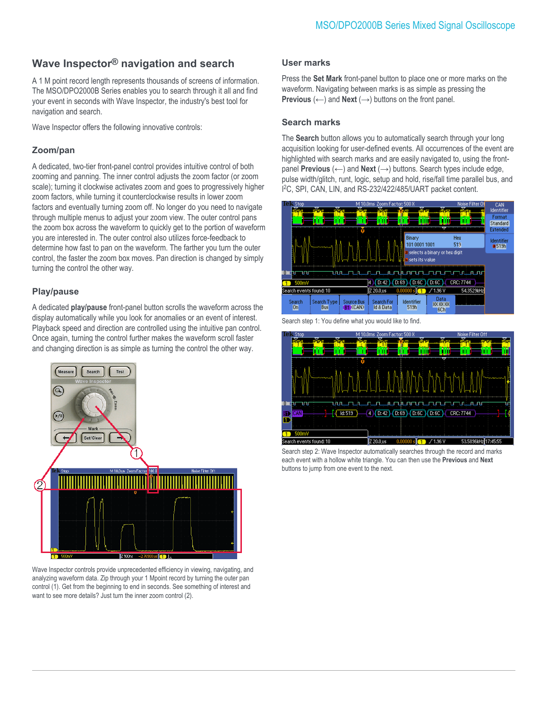### **Wave Inspector® navigation and search**

A 1 M point record length represents thousands of screens of information. The MSO/DPO2000B Series enables you to search through it all and find your event in seconds with Wave Inspector, the industry's best tool for navigation and search.

Wave Inspector offers the following innovative controls:

### **Zoom/pan**

A dedicated, two-tier front-panel control provides intuitive control of both zooming and panning. The inner control adjusts the zoom factor (or zoom scale); turning it clockwise activates zoom and goes to progressively higher zoom factors, while turning it counterclockwise results in lower zoom factors and eventually turning zoom off. No longer do you need to navigate through multiple menus to adjust your zoom view. The outer control pans the zoom box across the waveform to quickly get to the portion of waveform you are interested in. The outer control also utilizes force-feedback to determine how fast to pan on the waveform. The farther you turn the outer control, the faster the zoom box moves. Pan direction is changed by simply turning the control the other way.

#### **Play/pause**

A dedicated **play/pause** front-panel button scrolls the waveform across the display automatically while you look for anomalies or an event of interest. Playback speed and direction are controlled using the intuitive pan control. Once again, turning the control further makes the waveform scroll faster and changing direction is as simple as turning the control the other way.



Wave Inspector controls provide unprecedented efficiency in viewing, navigating, and analyzing waveform data. Zip through your 1 Mpoint record by turning the outer pan control (1). Get from the beginning to end in seconds. See something of interest and want to see more details? Just turn the inner zoom control (2).

#### **User marks**

Press the **Set Mark** front-panel button to place one or more marks on the waveform. Navigating between marks is as simple as pressing the **Previous**  $(\leftarrow)$  and **Next**  $(\rightarrow)$  buttons on the front panel.

#### **Search marks**

The **Search** button allows you to automatically search through your long acquisition looking for user-defined events. All occurrences of the event are highlighted with search marks and are easily navigated to, using the frontpanel **Previous** (←) and **Next** (→) buttons. Search types include edge, pulse width/glitch, runt, logic, setup and hold, rise/fall time parallel bus, and I <sup>2</sup>C, SPI, CAN, LIN, and RS-232/422/485/UART packet content.



Search step 1: You define what you would like to find.



Search step 2: Wave Inspector automatically searches through the record and marks each event with a hollow white triangle. You can then use the **Previous** and **Next** buttons to jump from one event to the next.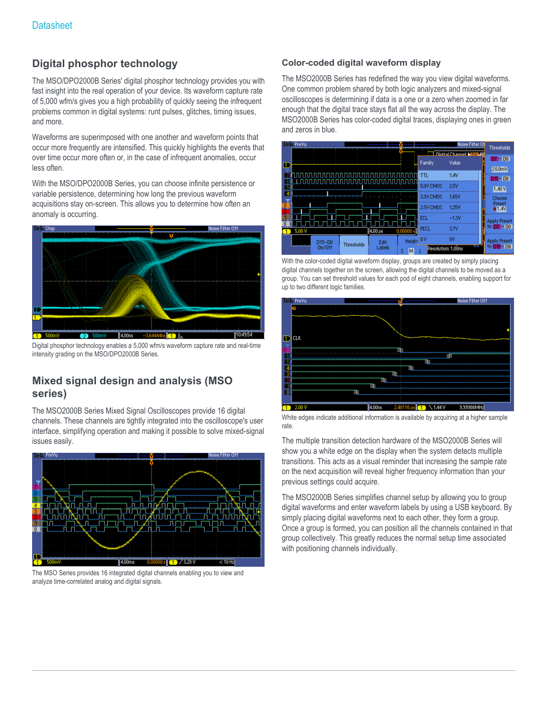### **Digital phosphor technology**

The MSO/DPO2000B Series' digital phosphor technology provides you with fast insight into the real operation of your device. Its waveform capture rate of 5,000 wfm/s gives you a high probability of quickly seeing the infrequent problems common in digital systems: runt pulses, glitches, timing issues, and more.

Waveforms are superimposed with one another and waveform points that occur more frequently are intensified. This quickly highlights the events that over time occur more often or, in the case of infrequent anomalies, occur less often.

With the MSO/DPO2000B Series, you can choose infinite persistence or variable persistence, determining how long the previous waveform acquisitions stay on-screen. This allows you to determine how often an anomaly is occurring.



Digital phosphor technology enables a 5,000 wfm/s waveform capture rate and real-time intensity grading on the MSO/DPO2000B Series.

### **Mixed signal design and analysis (MSO series)**

The MSO2000B Series Mixed Signal Oscilloscopes provide 16 digital channels. These channels are tightly integrated into the oscilloscope's user interface, simplifying operation and making it possible to solve mixed-signal issues easily.



The MSO Series provides 16 integrated digital channels enabling you to view and analyze time-correlated analog and digital signals.

#### **Color-coded digital waveform display**

The MSO2000B Series has redefined the way you view digital waveforms. One common problem shared by both logic analyzers and mixed-signal oscilloscopes is determining if data is a one or a zero when zoomed in far enough that the digital trace stays flat all the way across the display. The MSO2000B Series has color-coded digital traces, displaying ones in green and zeros in blue.



With the color-coded digital waveform display, groups are created by simply placing digital channels together on the screen, allowing the digital channels to be moved as a group. You can set threshold values for each pod of eight channels, enabling support for up to two different logic families.



White edges indicate additional information is available by acquiring at a higher sample rate.

The multiple transition detection hardware of the MSO2000B Series will show you a white edge on the display when the system detects multiple transitions. This acts as a visual reminder that increasing the sample rate on the next acquisition will reveal higher frequency information than your previous settings could acquire.

The MSO2000B Series simplifies channel setup by allowing you to group digital waveforms and enter waveform labels by using a USB keyboard. By simply placing digital waveforms next to each other, they form a group. Once a group is formed, you can position all the channels contained in that group collectively. This greatly reduces the normal setup time associated with positioning channels individually.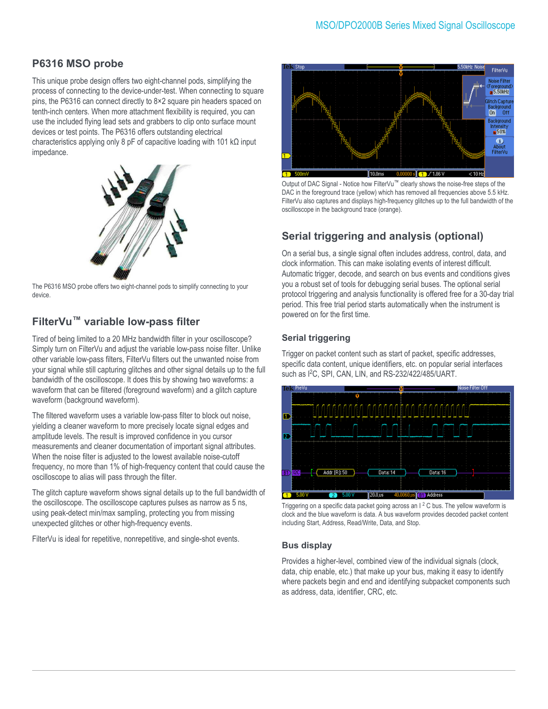### **P6316 MSO probe**

This unique probe design offers two eight-channel pods, simplifying the process of connecting to the device-under-test. When connecting to square pins, the P6316 can connect directly to 8×2 square pin headers spaced on tenth-inch centers. When more attachment flexibility is required, you can use the included flying lead sets and grabbers to clip onto surface mount devices or test points. The P6316 offers outstanding electrical characteristics applying only 8 pF of capacitive loading with 101 kΩ input impedance.



The P6316 MSO probe offers two eight-channel pods to simplify connecting to your device.

### **FilterVu™ variable low-pass filter**

Tired of being limited to a 20 MHz bandwidth filter in your oscilloscope? Simply turn on FilterVu and adjust the variable low-pass noise filter. Unlike other variable low-pass filters, FilterVu filters out the unwanted noise from your signal while still capturing glitches and other signal details up to the full bandwidth of the oscilloscope. It does this by showing two waveforms: a waveform that can be filtered (foreground waveform) and a glitch capture waveform (background waveform).

The filtered waveform uses a variable low-pass filter to block out noise, yielding a cleaner waveform to more precisely locate signal edges and amplitude levels. The result is improved confidence in you cursor measurements and cleaner documentation of important signal attributes. When the noise filter is adjusted to the lowest available noise-cutoff frequency, no more than 1% of high-frequency content that could cause the oscilloscope to alias will pass through the filter.

The glitch capture waveform shows signal details up to the full bandwidth of the oscilloscope. The oscilloscope captures pulses as narrow as 5 ns, using peak-detect min/max sampling, protecting you from missing unexpected glitches or other high-frequency events.

FilterVu is ideal for repetitive, nonrepetitive, and single-shot events.



Output of DAC Signal - Notice how FilterVu™ clearly shows the noise-free steps of the DAC in the foreground trace (yellow) which has removed all frequencies above 5.5 kHz. FilterVu also captures and displays high-frequency glitches up to the full bandwidth of the oscilloscope in the background trace (orange).

### **Serial triggering and analysis (optional)**

On a serial bus, a single signal often includes address, control, data, and clock information. This can make isolating events of interest difficult. Automatic trigger, decode, and search on bus events and conditions gives you a robust set of tools for debugging serial buses. The optional serial protocol triggering and analysis functionality is offered free for a 30-day trial period. This free trial period starts automatically when the instrument is powered on for the first time.

### **Serial triggering**

Trigger on packet content such as start of packet, specific addresses, specific data content, unique identifiers, etc. on popular serial interfaces such as I<sup>2</sup>C, SPI, CAN, LIN, and RS-232/422/485/UART.



Triggering on a specific data packet going across an  $1<sup>2</sup>$  C bus. The yellow waveform is clock and the blue waveform is data. A bus waveform provides decoded packet content including Start, Address, Read/Write, Data, and Stop.

#### **Bus display**

Provides a higher-level, combined view of the individual signals (clock, data, chip enable, etc.) that make up your bus, making it easy to identify where packets begin and end and identifying subpacket components such as address, data, identifier, CRC, etc.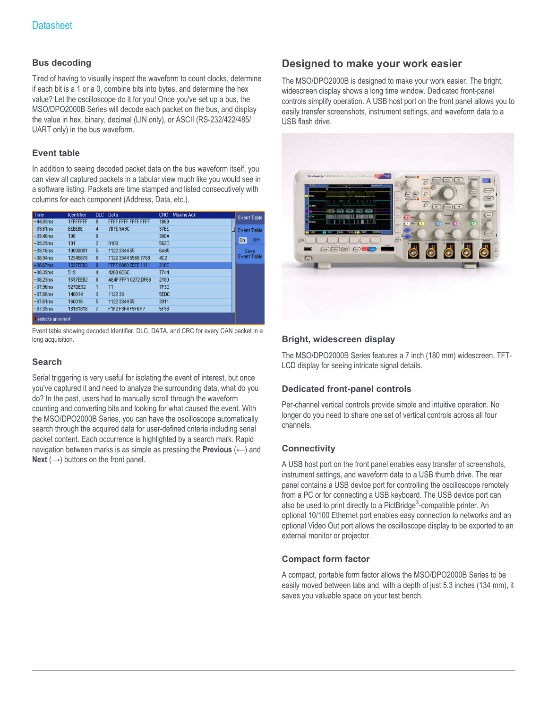#### **Bus decoding**

Tired of having to visually inspect the waveform to count clocks, determine if each bit is a 1 or a 0, combine bits into bytes, and determine the hex value? Let the oscilloscope do it for you! Once you've set up a bus, the MSO/DPO2000B Series will decode each packet on the bus, and display the value in hex, binary, decimal (LIN only), or ASCII (RS-232/422/485/ UART only) in the bus waveform.

#### **Event table**

In addition to seeing decoded packet data on the bus waveform itself, you can view all captured packets in a tabular view much like you would see in a software listing. Packets are time stamped and listed consecutively with columns for each component (Address, Data, etc.).

| <b>Time</b>               | Identifier       | DLC -          | Data                | Missing Ack<br>CRC. | <b>Event Table</b> |
|---------------------------|------------------|----------------|---------------------|---------------------|--------------------|
| $-44.93ms$                | <b>1FFFFFFFF</b> | 8              | FFFF FFFF FFFF FFFF | 1869                |                    |
| $-39.61$ ms               | <b>BEBEBE</b>    | 4              | 7B7E 9A9C           | 37EE                | <b>Event Table</b> |
| $-39.40$ ms               | 100              | 0              |                     | 380A                |                    |
| $-39.29ms$                | 101              | $\overline{2}$ | 0103                | 562D                | On<br><b>Off</b>   |
| $-39.16ms$                | 10000001         | 5              | 1122 3344 55        | 6A65                | Save               |
| $-38.94ms$                | 12345678         | 8              | 1122 3344 5566 7788 | 4C2                 | <b>Event Table</b> |
| $-38.67$ ms               | 1597EEB2         | 8              | FFFF 0000 EEEE 1111 | 216E                |                    |
| $-38.39ms$                | 519              | 4              | 4269 6C6C           | 7744                |                    |
| $-38.23ms$                | 1597EEB2         | 8              | AE4F FFF1 0272 DF6B | 2180                |                    |
| $-37.96$ ms               | 527DE32          |                | 11                  | 7F3D                |                    |
| $-37.80$ ms               | 140014           | 3              | 112233              | <b>SEDC</b>         |                    |
| $-37.61ms$                | 160016           | 5              | 1122 3344 55        | 3911                |                    |
| $-37.39ms$                | 18181818         |                | F1F2 F3F4 F5F6 F7   | <b>5F9B</b>         |                    |
| <b>8</b> selects an event |                  |                |                     |                     |                    |

Event table showing decoded Identifier, DLC, DATA, and CRC for every CAN packet in a long acquisition.

### **Search**

Serial triggering is very useful for isolating the event of interest, but once you've captured it and need to analyze the surrounding data, what do you do? In the past, users had to manually scroll through the waveform counting and converting bits and looking for what caused the event. With the MSO/DPO2000B Series, you can have the oscilloscope automatically search through the acquired data for user-defined criteria including serial packet content. Each occurrence is highlighted by a search mark. Rapid navigation between marks is as simple as pressing the **Previous** (←) and **Next** ( $\rightarrow$ ) buttons on the front panel.

### **Designed to make your work easier**

The MSO/DPO2000B is designed to make your work easier. The bright, widescreen display shows a long time window. Dedicated front-panel controls simplify operation. A USB host port on the front panel allows you to easily transfer screenshots, instrument settings, and waveform data to a USB flash drive.



#### **Bright, widescreen display**

The MSO/DPO2000B Series features a 7 inch (180 mm) widescreen, TFT-LCD display for seeing intricate signal details.

#### **Dedicated front-panel controls**

Per-channel vertical controls provide simple and intuitive operation. No longer do you need to share one set of vertical controls across all four channels.

#### **Connectivity**

A USB host port on the front panel enables easy transfer of screenshots, instrument settings, and waveform data to a USB thumb drive. The rear panel contains a USB device port for controlling the oscilloscope remotely from a PC or for connecting a USB keyboard. The USB device port can also be used to print directly to a PictBridge®-compatible printer. An optional 10/100 Ethernet port enables easy connection to networks and an optional Video Out port allows the oscilloscope display to be exported to an external monitor or projector.

### **Compact form factor**

A compact, portable form factor allows the MSO/DPO2000B Series to be easily moved between labs and, with a depth of just 5.3 inches (134 mm), it saves you valuable space on your test bench.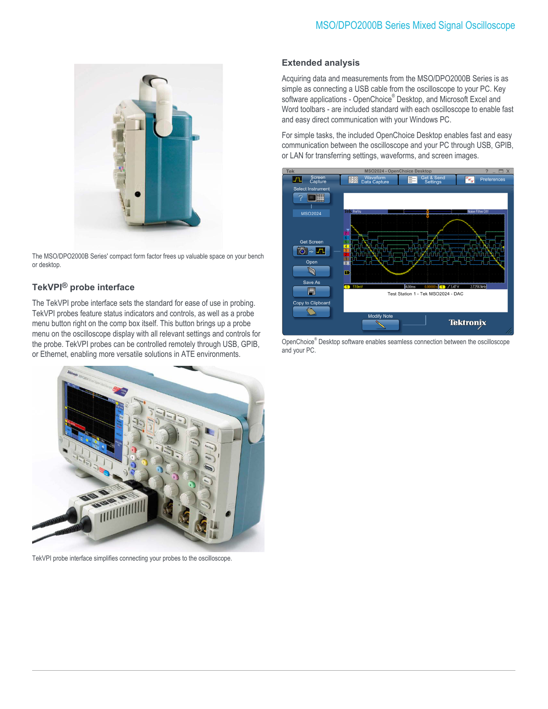

The MSO/DPO2000B Series' compact form factor frees up valuable space on your bench or desktop.

### **TekVPI® probe interface**

The TekVPI probe interface sets the standard for ease of use in probing. TekVPI probes feature status indicators and controls, as well as a probe menu button right on the comp box itself. This button brings up a probe menu on the oscilloscope display with all relevant settings and controls for the probe. TekVPI probes can be controlled remotely through USB, GPIB, or Ethernet, enabling more versatile solutions in ATE environments.



TekVPI probe interface simplifies connecting your probes to the oscilloscope.

#### **Extended analysis**

Acquiring data and measurements from the MSO/DPO2000B Series is as simple as connecting a USB cable from the oscilloscope to your PC. Key software applications - OpenChoice® Desktop, and Microsoft Excel and Word toolbars - are included standard with each oscilloscope to enable fast and easy direct communication with your Windows PC.

For simple tasks, the included OpenChoice Desktop enables fast and easy communication between the oscilloscope and your PC through USB, GPIB, or LAN for transferring settings, waveforms, and screen images.



OpenChoice® Desktop software enables seamless connection between the oscilloscope and your PC.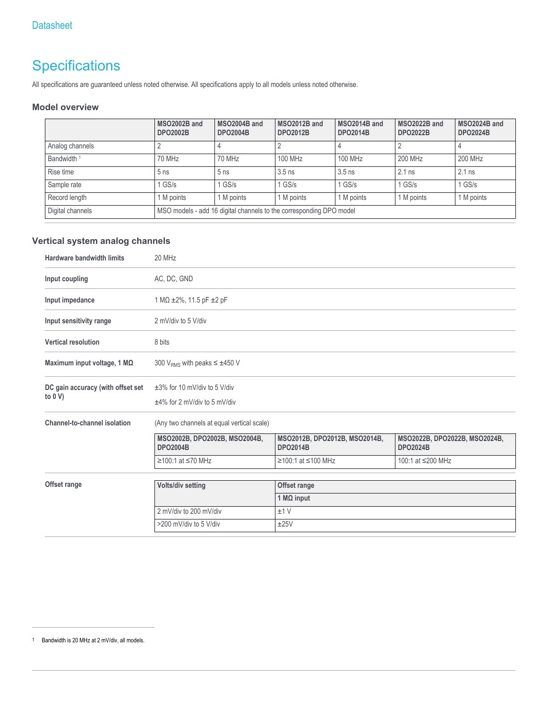## **Specifications**

All specifications are guaranteed unless noted otherwise. All specifications apply to all models unless noted otherwise.

#### **Model overview**

|                        | MSO2002B and<br><b>DPO2002B</b> | MSO2004B and<br><b>DPO2004B</b>                                     | MSO2012B and<br><b>DPO2012B</b> | MSO2014B and<br><b>DPO2014B</b> | MSO2022B and<br><b>DPO2022B</b> | MSO2024B and<br><b>DPO2024B</b> |
|------------------------|---------------------------------|---------------------------------------------------------------------|---------------------------------|---------------------------------|---------------------------------|---------------------------------|
| Analog channels        |                                 |                                                                     |                                 |                                 |                                 |                                 |
| Bandwidth <sup>1</sup> | 70 MHz                          | 70 MHz                                                              | 100 MHz                         | 100 MHz                         | 200 MHz                         | 200 MHz                         |
| Rise time              | 5 <sub>ns</sub>                 | 5 <sub>ns</sub>                                                     | $3.5$ ns                        | $3.5$ ns                        | $2.1$ ns                        | $2.1$ ns                        |
| Sample rate            | I GS/s                          | $1$ GS/s                                                            | $1$ GS/s                        | $1$ GS/s                        | $1$ GS/s                        | $1$ GS/s                        |
| Record length          | 1 M points                      | 1 M points                                                          | 1 M points                      | 1 M points                      | 1 M points                      | 1 M points                      |
| Digital channels       |                                 | MSO models - add 16 digital channels to the corresponding DPO model |                                 |                                 |                                 |                                 |

### **Vertical system analog channels**

| <b>Hardware bandwidth limits</b>              | 20 MHz                                                                |                                                  |                                                  |  |  |
|-----------------------------------------------|-----------------------------------------------------------------------|--------------------------------------------------|--------------------------------------------------|--|--|
| Input coupling                                | AC, DC, GND                                                           |                                                  |                                                  |  |  |
| Input impedance                               | 1 M $\Omega$ ±2%, 11.5 pF ±2 pF                                       |                                                  |                                                  |  |  |
| Input sensitivity range                       | 2 mV/div to 5 V/div                                                   |                                                  |                                                  |  |  |
| <b>Vertical resolution</b>                    | 8 bits                                                                |                                                  |                                                  |  |  |
| Maximum input voltage, 1 MΩ                   | 300 V <sub>RMS</sub> with peaks $\leq \pm 450$ V                      |                                                  |                                                  |  |  |
| DC gain accuracy (with offset set<br>to $0 V$ | $\pm 3\%$ for 10 mV/div to 5 V/div<br>$±4\%$ for 2 mV/div to 5 mV/div |                                                  |                                                  |  |  |
| Channel-to-channel isolation                  | (Any two channels at equal vertical scale)                            |                                                  |                                                  |  |  |
|                                               | MSO2002B, DPO2002B, MSO2004B,<br><b>DPO2004B</b>                      | MSO2012B, DPO2012B, MSO2014B,<br><b>DPO2014B</b> | MSO2022B, DPO2022B, MSO2024B,<br><b>DPO2024B</b> |  |  |
|                                               | ≥100:1 at ≤70 MHz                                                     | ≥100:1 at ≤100 MHz                               | 100:1 at ≤200 MHz                                |  |  |
| Offset range                                  |                                                                       |                                                  |                                                  |  |  |
|                                               | Volts/div setting<br>Offset range                                     |                                                  |                                                  |  |  |
|                                               | 1 MQ input                                                            |                                                  |                                                  |  |  |
|                                               | 2 mV/div to 200 mV/div<br>±1V                                         |                                                  |                                                  |  |  |
|                                               | >200 mV/div to 5 V/div<br>±25V                                        |                                                  |                                                  |  |  |

<sup>1</sup> Bandwidth is 20 MHz at 2 mV/div, all models.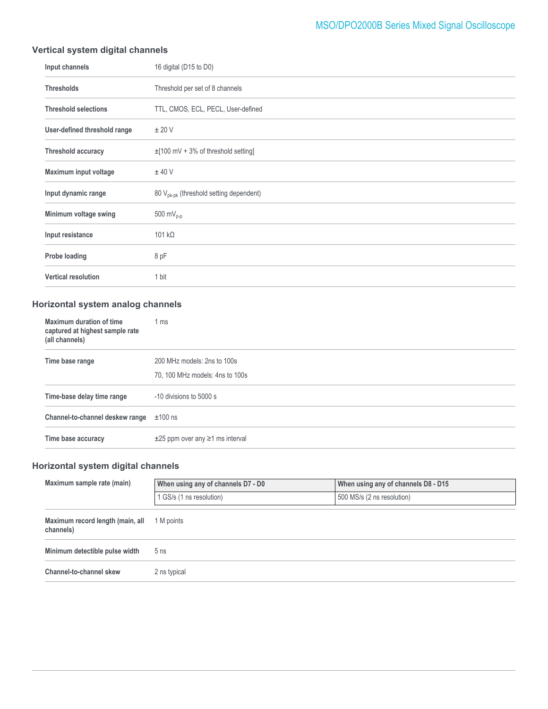### MSO/DPO2000B Series Mixed Signal Oscilloscope

### **Vertical system digital channels**

| Input channels               | 16 digital (D15 to D0)                              |
|------------------------------|-----------------------------------------------------|
| <b>Thresholds</b>            | Threshold per set of 8 channels                     |
| <b>Threshold selections</b>  | TTL, CMOS, ECL, PECL, User-defined                  |
| User-defined threshold range | ± 20 V                                              |
| <b>Threshold accuracy</b>    | $\pm$ [100 mV + 3% of threshold setting]            |
| Maximum input voltage        | $±$ 40 V                                            |
| Input dynamic range          | 80 V <sub>pk-pk</sub> (threshold setting dependent) |
| Minimum voltage swing        | 500 m $V_{p-p}$                                     |
| Input resistance             | 101 $k\Omega$                                       |
| Probe loading                | 8 pF                                                |
| <b>Vertical resolution</b>   | 1 bit                                               |

### **Horizontal system analog channels**

| Maximum duration of time<br>captured at highest sample rate<br>(all channels) | 1 ms                                       |
|-------------------------------------------------------------------------------|--------------------------------------------|
| Time base range                                                               | 200 MHz models: 2ns to 100s                |
|                                                                               | 70, 100 MHz models: 4ns to 100s            |
| Time-base delay time range                                                    | -10 divisions to 5000 s                    |
| Channel-to-channel deskew range                                               | $\pm 100$ ns                               |
| Time base accuracy                                                            | $\pm 25$ ppm over any $\geq 1$ ms interval |

### **Horizontal system digital channels**

| Maximum sample rate (main)                    | When using any of channels D7 - D0 | When using any of channels D8 - D15 |  |
|-----------------------------------------------|------------------------------------|-------------------------------------|--|
|                                               | 1 GS/s (1 ns resolution)           | 500 MS/s (2 ns resolution)          |  |
| Maximum record length (main, all<br>channels) | 1 M points                         |                                     |  |
| Minimum detectible pulse width                | 5 <sub>ns</sub>                    |                                     |  |
| Channel-to-channel skew                       | 2 ns typical                       |                                     |  |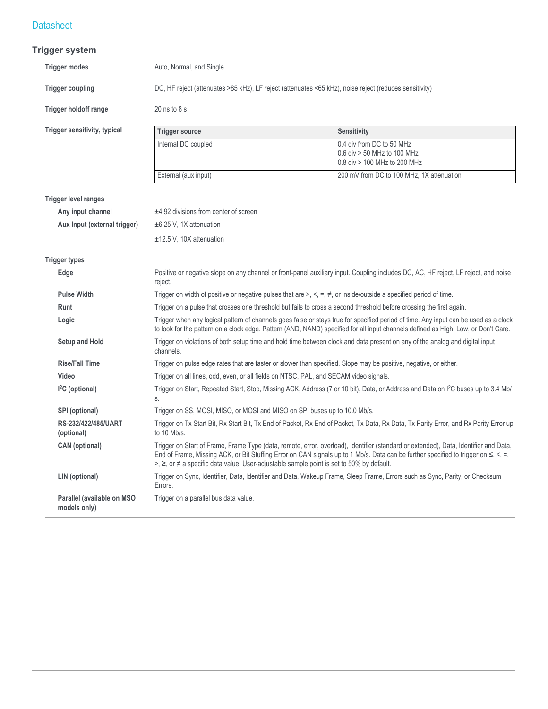### **Trigger system**

| <b>Trigger modes</b>                       | Auto, Normal, and Single                                                                                                    |                                                                                                                                                                                                                                                                            |  |  |
|--------------------------------------------|-----------------------------------------------------------------------------------------------------------------------------|----------------------------------------------------------------------------------------------------------------------------------------------------------------------------------------------------------------------------------------------------------------------------|--|--|
| <b>Trigger coupling</b>                    | DC, HF reject (attenuates >85 kHz), LF reject (attenuates <65 kHz), noise reject (reduces sensitivity)                      |                                                                                                                                                                                                                                                                            |  |  |
| Trigger holdoff range                      | $20$ ns to $8$ s                                                                                                            |                                                                                                                                                                                                                                                                            |  |  |
| Trigger sensitivity, typical               | <b>Trigger source</b>                                                                                                       | Sensitivity                                                                                                                                                                                                                                                                |  |  |
|                                            | Internal DC coupled                                                                                                         | 0.4 div from DC to 50 MHz<br>$0.6$ div $> 50$ MHz to 100 MHz<br>0.8 div > 100 MHz to 200 MHz                                                                                                                                                                               |  |  |
|                                            | External (aux input)                                                                                                        | 200 mV from DC to 100 MHz, 1X attenuation                                                                                                                                                                                                                                  |  |  |
| <b>Trigger level ranges</b>                |                                                                                                                             |                                                                                                                                                                                                                                                                            |  |  |
| Any input channel                          | ±4.92 divisions from center of screen                                                                                       |                                                                                                                                                                                                                                                                            |  |  |
| Aux Input (external trigger)               | $\pm$ 6.25 V, 1X attenuation                                                                                                |                                                                                                                                                                                                                                                                            |  |  |
|                                            | ±12.5 V, 10X attenuation                                                                                                    |                                                                                                                                                                                                                                                                            |  |  |
| <b>Trigger types</b>                       |                                                                                                                             |                                                                                                                                                                                                                                                                            |  |  |
| Edge                                       | reject.                                                                                                                     | Positive or negative slope on any channel or front-panel auxiliary input. Coupling includes DC, AC, HF reject, LF reject, and noise                                                                                                                                        |  |  |
| <b>Pulse Width</b>                         | Trigger on width of positive or negative pulses that are $\geq, \leq, \neq$ , or inside/outside a specified period of time. |                                                                                                                                                                                                                                                                            |  |  |
| Runt                                       | Trigger on a pulse that crosses one threshold but fails to cross a second threshold before crossing the first again.        |                                                                                                                                                                                                                                                                            |  |  |
| Logic                                      |                                                                                                                             | Trigger when any logical pattern of channels goes false or stays true for specified period of time. Any input can be used as a clock<br>to look for the pattern on a clock edge. Pattern (AND, NAND) specified for all input channels defined as High, Low, or Don't Care. |  |  |
| <b>Setup and Hold</b>                      | channels.                                                                                                                   | Trigger on violations of both setup time and hold time between clock and data present on any of the analog and digital input                                                                                                                                               |  |  |
| <b>Rise/Fall Time</b>                      |                                                                                                                             | Trigger on pulse edge rates that are faster or slower than specified. Slope may be positive, negative, or either.                                                                                                                                                          |  |  |
| Video                                      | Trigger on all lines, odd, even, or all fields on NTSC, PAL, and SECAM video signals.                                       |                                                                                                                                                                                                                                                                            |  |  |
| I <sup>2</sup> C (optional)                | S.                                                                                                                          | Trigger on Start, Repeated Start, Stop, Missing ACK, Address (7 or 10 bit), Data, or Address and Data on I <sup>2</sup> C buses up to 3.4 Mb/                                                                                                                              |  |  |
| SPI (optional)                             | Trigger on SS, MOSI, MISO, or MOSI and MISO on SPI buses up to 10.0 Mb/s.                                                   |                                                                                                                                                                                                                                                                            |  |  |
| RS-232/422/485/UART<br>(optional)          | to 10 Mb/s.                                                                                                                 | Trigger on Tx Start Bit, Rx Start Bit, Tx End of Packet, Rx End of Packet, Tx Data, Rx Data, Tx Parity Error, and Rx Parity Error up                                                                                                                                       |  |  |
| <b>CAN</b> (optional)                      | >, $\ge$ , or $\neq$ a specific data value. User-adjustable sample point is set to 50% by default.                          | Trigger on Start of Frame, Frame Type (data, remote, error, overload), Identifier (standard or extended), Data, Identifier and Data,<br>End of Frame, Missing ACK, or Bit Stuffing Error on CAN signals up to 1 Mb/s. Data can be further specified to trigger on ≤, <, =, |  |  |
| LIN (optional)                             | Errors.                                                                                                                     | Trigger on Sync, Identifier, Data, Identifier and Data, Wakeup Frame, Sleep Frame, Errors such as Sync, Parity, or Checksum                                                                                                                                                |  |  |
| Parallel (available on MSO<br>models only) | Trigger on a parallel bus data value.                                                                                       |                                                                                                                                                                                                                                                                            |  |  |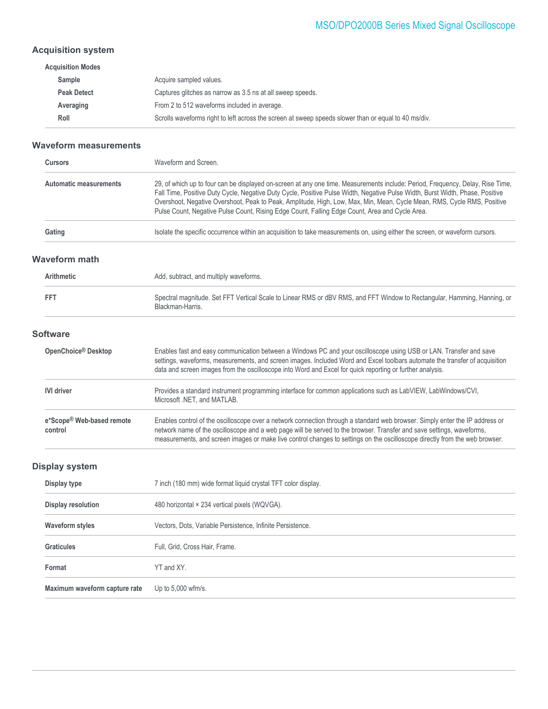### MSO/DPO2000B Series Mixed Signal Oscilloscope

### **Acquisition system**

| Acquire sampled values.                                                                              |
|------------------------------------------------------------------------------------------------------|
| Captures glitches as narrow as 3.5 ns at all sweep speeds.                                           |
| From 2 to 512 waveforms included in average.                                                         |
| Scrolls waveforms right to left across the screen at sweep speeds slower than or equal to 40 ms/div. |
|                                                                                                      |

#### **Waveform measurements**

| <b>Cursors</b>                | Waveform and Screen.                                                                                                                                                                                                                                                                                                                                                                                                                                                                         |
|-------------------------------|----------------------------------------------------------------------------------------------------------------------------------------------------------------------------------------------------------------------------------------------------------------------------------------------------------------------------------------------------------------------------------------------------------------------------------------------------------------------------------------------|
| <b>Automatic measurements</b> | 29, of which up to four can be displayed on-screen at any one time. Measurements include: Period, Frequency, Delay, Rise Time,<br>Fall Time, Positive Duty Cycle, Negative Duty Cycle, Positive Pulse Width, Negative Pulse Width, Burst Width, Phase, Positive<br>Overshoot, Negative Overshoot, Peak to Peak, Amplitude, High, Low, Max, Min, Mean, Cycle Mean, RMS, Cycle RMS, Positive<br>Pulse Count, Negative Pulse Count, Rising Edge Count, Falling Edge Count, Area and Cycle Area. |
| Gating                        | Isolate the specific occurrence within an acquisition to take measurements on, using either the screen, or waveform cursors.                                                                                                                                                                                                                                                                                                                                                                 |

#### **Waveform math**

| <b>Arithmetic</b>                    | Add, subtract, and multiply waveforms.                                                                                                                                                                                                                                                                                                                                               |
|--------------------------------------|--------------------------------------------------------------------------------------------------------------------------------------------------------------------------------------------------------------------------------------------------------------------------------------------------------------------------------------------------------------------------------------|
| <b>FFT</b>                           | Spectral magnitude. Set FFT Vertical Scale to Linear RMS or dBV RMS, and FFT Window to Rectangular, Hamming, Hanning, or<br>Blackman-Harris.                                                                                                                                                                                                                                         |
| <b>Software</b>                      |                                                                                                                                                                                                                                                                                                                                                                                      |
| OpenChoice <sup>®</sup> Desktop      | Enables fast and easy communication between a Windows PC and your oscilloscope using USB or LAN. Transfer and save<br>settings, waveforms, measurements, and screen images. Included Word and Excel toolbars automate the transfer of acquisition<br>data and screen images from the oscilloscope into Word and Excel for quick reporting or further analysis.                       |
| <b>IVI driver</b>                    | Provides a standard instrument programming interface for common applications such as LabVIEW, LabWindows/CVI,<br>Microsoft .NET, and MATLAB.                                                                                                                                                                                                                                         |
| e*Scope® Web-based remote<br>control | Enables control of the oscilloscope over a network connection through a standard web browser. Simply enter the IP address or<br>network name of the oscilloscope and a web page will be served to the browser. Transfer and save settings, waveforms,<br>measurements, and screen images or make live control changes to settings on the oscilloscope directly from the web browser. |

### **Display system**

| Display type                  | 7 inch (180 mm) wide format liquid crystal TFT color display. |
|-------------------------------|---------------------------------------------------------------|
| Display resolution            | 480 horizontal × 234 vertical pixels (WQVGA).                 |
| <b>Waveform styles</b>        | Vectors, Dots, Variable Persistence, Infinite Persistence.    |
| <b>Graticules</b>             | Full, Grid, Cross Hair, Frame.                                |
| Format                        | YT and XY.                                                    |
| Maximum waveform capture rate | Up to $5,000$ wfm/s.                                          |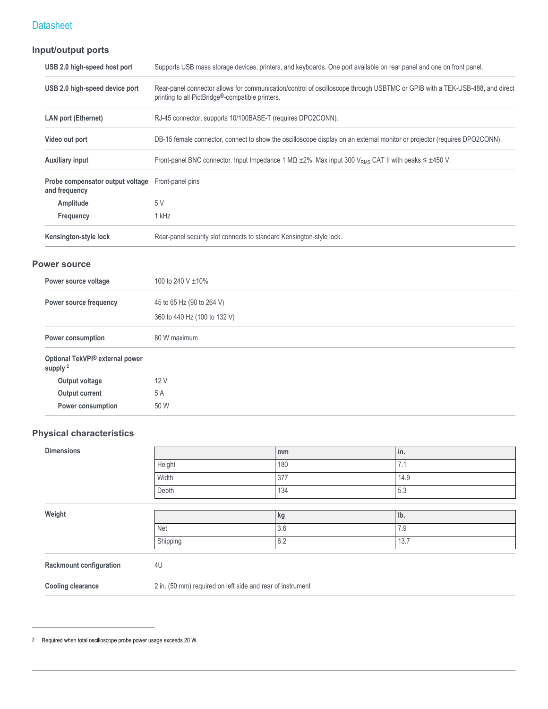### **Input/output ports**

| USB 2.0 high-speed host port                      | Supports USB mass storage devices, printers, and keyboards. One port available on rear panel and one on front panel.                                                                         |
|---------------------------------------------------|----------------------------------------------------------------------------------------------------------------------------------------------------------------------------------------------|
| USB 2.0 high-speed device port                    | Rear-panel connector allows for communication/control of oscilloscope through USBTMC or GPIB with a TEK-USB-488, and direct<br>printing to all PictBridge <sup>®</sup> -compatible printers. |
| <b>LAN port (Ethernet)</b>                        | RJ-45 connector, supports 10/100BASE-T (requires DPO2CONN).                                                                                                                                  |
| Video out port                                    | DB-15 female connector, connect to show the oscilloscope display on an external monitor or projector (requires DPO2CONN).                                                                    |
| <b>Auxiliary input</b>                            | Front-panel BNC connector. Input Impedance 1 M $\Omega$ ±2%. Max input 300 V <sub>RMS</sub> CAT II with peaks $\leq \pm 450$ V.                                                              |
| Probe compensator output voltage<br>and frequency | Front-panel pins                                                                                                                                                                             |
| Amplitude                                         | 5 V                                                                                                                                                                                          |
| Frequency                                         | 1 kHz                                                                                                                                                                                        |
| Kensington-style lock                             | Rear-panel security slot connects to standard Kensington-style lock.                                                                                                                         |

#### **Power source**

| Power source voltage                                   | 100 to 240 V $\pm$ 10%                                    |
|--------------------------------------------------------|-----------------------------------------------------------|
| Power source frequency                                 | 45 to 65 Hz (90 to 264 V)<br>360 to 440 Hz (100 to 132 V) |
| Power consumption                                      | 80 W maximum                                              |
| Optional TekVPI® external power<br>supply <sup>2</sup> |                                                           |
| Output voltage                                         | 12V                                                       |
| Output current                                         | 5 A                                                       |
| Power consumption                                      | 50 W                                                      |

### **Physical characteristics**

| <b>Dimensions</b>              |          | mm                                                         | in.  |  |
|--------------------------------|----------|------------------------------------------------------------|------|--|
|                                | Height   | 180                                                        | 7.1  |  |
|                                | Width    | 377                                                        | 14.9 |  |
|                                | Depth    | 134                                                        | 5.3  |  |
|                                |          |                                                            |      |  |
| Weight                         |          | kg                                                         | lb.  |  |
|                                | Net      | 3.6                                                        | 7.9  |  |
|                                | Shipping | 6.2                                                        | 13.7 |  |
| <b>Rackmount configuration</b> | 4U       |                                                            |      |  |
| <b>Cooling clearance</b>       |          | 2 in. (50 mm) required on left side and rear of instrument |      |  |

2 Required when total oscilloscope probe power usage exceeds 20 W.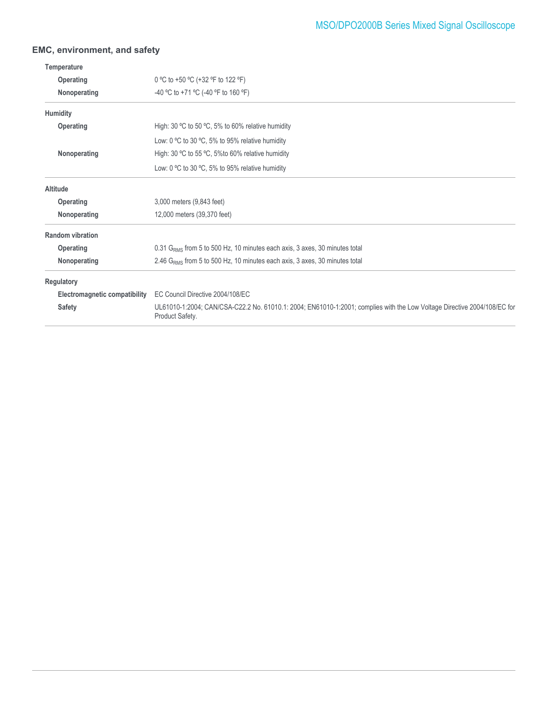### **EMC, environment, and safety**

| Temperature                   |                                                                                                                                             |
|-------------------------------|---------------------------------------------------------------------------------------------------------------------------------------------|
| Operating                     | 0 °C to +50 °C (+32 °F to 122 °F)                                                                                                           |
| Nonoperating                  | -40 °C to +71 °C (-40 °F to 160 °F)                                                                                                         |
| Humidity                      |                                                                                                                                             |
| Operating                     | High: 30 $\degree$ C to 50 $\degree$ C, 5% to 60% relative humidity                                                                         |
|                               | Low: 0 $\degree$ C to 30 $\degree$ C, 5% to 95% relative humidity                                                                           |
| Nonoperating                  | High: 30 °C to 55 °C, 5% to 60% relative humidity                                                                                           |
|                               | Low: 0 $\degree$ C to 30 $\degree$ C, 5% to 95% relative humidity                                                                           |
| <b>Altitude</b>               |                                                                                                                                             |
| Operating                     | 3,000 meters (9,843 feet)                                                                                                                   |
| Nonoperating                  | 12,000 meters (39,370 feet)                                                                                                                 |
| <b>Random vibration</b>       |                                                                                                                                             |
| Operating                     | 0.31 G <sub>RMS</sub> from 5 to 500 Hz, 10 minutes each axis, 3 axes, 30 minutes total                                                      |
| Nonoperating                  | 2.46 G <sub>RMS</sub> from 5 to 500 Hz, 10 minutes each axis, 3 axes, 30 minutes total                                                      |
| Regulatory                    |                                                                                                                                             |
| Electromagnetic compatibility | EC Council Directive 2004/108/EC                                                                                                            |
| <b>Safety</b>                 | UL61010-1:2004; CAN/CSA-C22.2 No. 61010.1: 2004; EN61010-1:2001; complies with the Low Voltage Directive 2004/108/EC for<br>Product Safety. |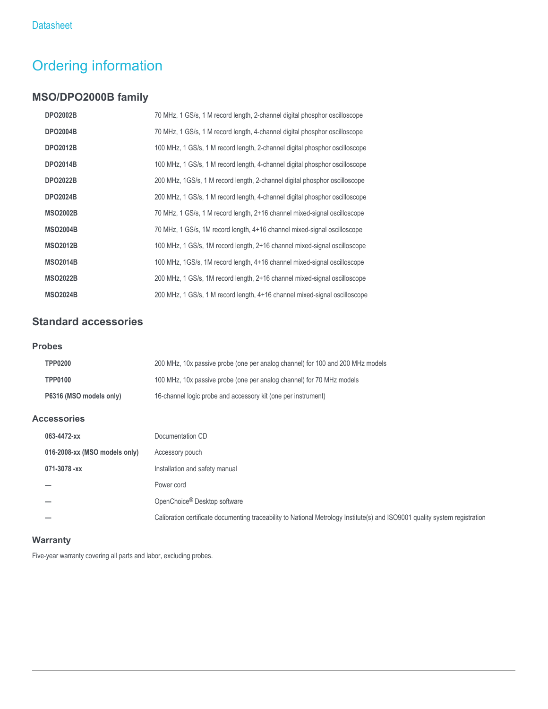# Ordering information

### **MSO/DPO2000B family**

| <b>DPO2002B</b> | 70 MHz, 1 GS/s, 1 M record length, 2-channel digital phosphor oscilloscope  |
|-----------------|-----------------------------------------------------------------------------|
| <b>DPO2004B</b> | 70 MHz, 1 GS/s, 1 M record length, 4-channel digital phosphor oscilloscope  |
| <b>DPO2012B</b> | 100 MHz, 1 GS/s, 1 M record length, 2-channel digital phosphor oscilloscope |
| <b>DPO2014B</b> | 100 MHz, 1 GS/s, 1 M record length, 4-channel digital phosphor oscilloscope |
| <b>DPO2022B</b> | 200 MHz, 1GS/s, 1 M record length, 2-channel digital phosphor oscilloscope  |
| <b>DPO2024B</b> | 200 MHz, 1 GS/s, 1 M record length, 4-channel digital phosphor oscilloscope |
| <b>MSO2002B</b> | 70 MHz, 1 GS/s, 1 M record length, 2+16 channel mixed-signal oscilloscope   |
| <b>MSO2004B</b> | 70 MHz, 1 GS/s, 1M record length, 4+16 channel mixed-signal oscilloscope    |
| <b>MSO2012B</b> | 100 MHz, 1 GS/s, 1M record length, 2+16 channel mixed-signal oscilloscope   |
| <b>MSO2014B</b> | 100 MHz, 1GS/s, 1M record length, 4+16 channel mixed-signal oscilloscope    |
| <b>MSO2022B</b> | 200 MHz, 1 GS/s, 1M record length, 2+16 channel mixed-signal oscilloscope   |
| <b>MSO2024B</b> | 200 MHz, 1 GS/s, 1 M record length, 4+16 channel mixed-signal oscilloscope  |

### **Standard accessories**

#### **Probes**

| <b>TPP0200</b>          | 200 MHz, 10x passive probe (one per analog channel) for 100 and 200 MHz models |
|-------------------------|--------------------------------------------------------------------------------|
| <b>TPP0100</b>          | 100 MHz, 10x passive probe (one per analog channel) for 70 MHz models          |
| P6316 (MSO models only) | 16-channel logic probe and accessory kit (one per instrument)                  |

### **Accessories**

| 063-4472-xx                   | Documentation CD                                                                                                            |
|-------------------------------|-----------------------------------------------------------------------------------------------------------------------------|
| 016-2008-xx (MSO models only) | Accessory pouch                                                                                                             |
| 071-3078 -xx                  | Installation and safety manual                                                                                              |
|                               | Power cord                                                                                                                  |
|                               | OpenChoice <sup>®</sup> Desktop software                                                                                    |
|                               | Calibration certificate documenting traceability to National Metrology Institute(s) and ISO9001 quality system registration |

### **Warranty**

Five-year warranty covering all parts and labor, excluding probes.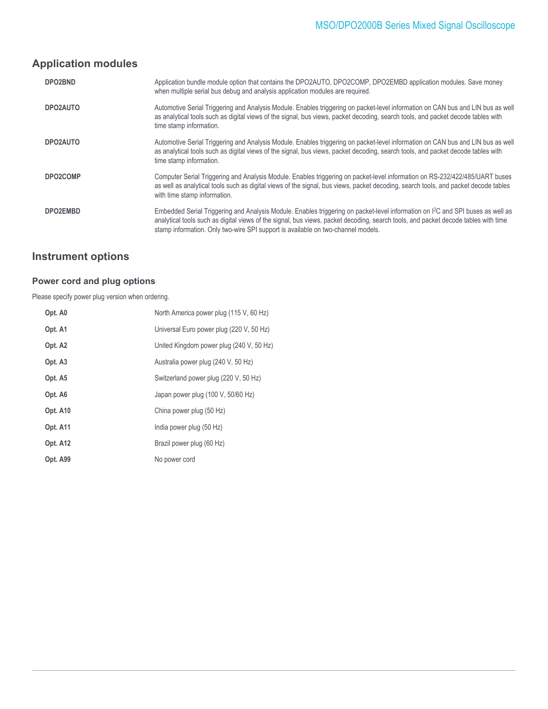### **Application modules**

| DPO2BND  | Application bundle module option that contains the DPO2AUTO, DPO2COMP, DPO2EMBD application modules. Save money<br>when multiple serial bus debug and analysis application modules are required.                                                                                                                                                                      |
|----------|-----------------------------------------------------------------------------------------------------------------------------------------------------------------------------------------------------------------------------------------------------------------------------------------------------------------------------------------------------------------------|
| DPO2AUTO | Automotive Serial Triggering and Analysis Module. Enables triggering on packet-level information on CAN bus and LIN bus as well<br>as analytical tools such as digital views of the signal, bus views, packet decoding, search tools, and packet decode tables with<br>time stamp information.                                                                        |
| DPO2AUTO | Automotive Serial Triggering and Analysis Module. Enables triggering on packet-level information on CAN bus and LIN bus as well<br>as analytical tools such as digital views of the signal, bus views, packet decoding, search tools, and packet decode tables with<br>time stamp information.                                                                        |
| DPO2COMP | Computer Serial Triggering and Analysis Module. Enables triggering on packet-level information on RS-232/422/485/UART buses<br>as well as analytical tools such as digital views of the signal, bus views, packet decoding, search tools, and packet decode tables<br>with time stamp information.                                                                    |
| DPO2EMBD | Embedded Serial Triggering and Analysis Module. Enables triggering on packet-level information on I <sup>2</sup> C and SPI buses as well as<br>analytical tools such as digital views of the signal, bus views, packet decoding, search tools, and packet decode tables with time<br>stamp information. Only two-wire SPI support is available on two-channel models. |

### **Instrument options**

### **Power cord and plug options**

Please specify power plug version when ordering.

| North America power plug (115 V, 60 Hz)  |
|------------------------------------------|
| Universal Euro power plug (220 V, 50 Hz) |
| United Kingdom power plug (240 V, 50 Hz) |
| Australia power plug (240 V, 50 Hz)      |
| Switzerland power plug (220 V, 50 Hz)    |
| Japan power plug (100 V, 50/60 Hz)       |
| China power plug (50 Hz)                 |
| India power plug (50 Hz)                 |
| Brazil power plug (60 Hz)                |
| No power cord                            |
|                                          |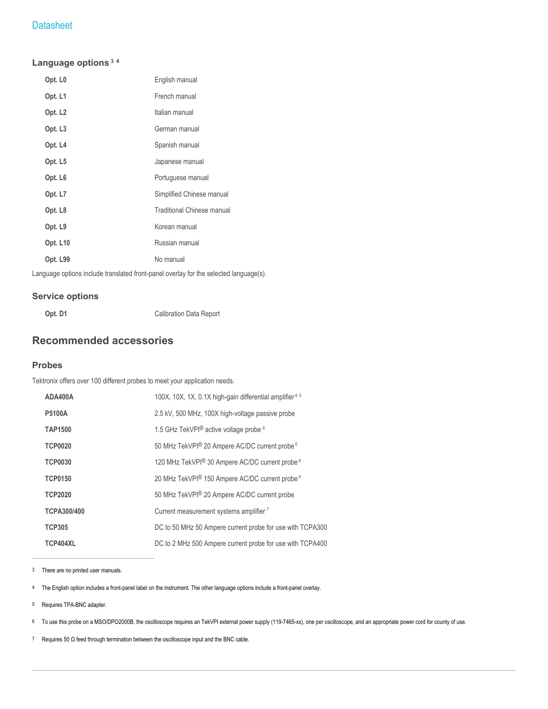#### **Language options<sup>3</sup> <sup>4</sup>**

| Opt. L <sub>0</sub> | English manual                    |
|---------------------|-----------------------------------|
| Opt. L1             | French manual                     |
| Opt. L <sub>2</sub> | Italian manual                    |
| Opt. L <sub>3</sub> | German manual                     |
| Opt. L4             | Spanish manual                    |
| Opt. L5             | Japanese manual                   |
| Opt. L <sub>6</sub> | Portuguese manual                 |
| Opt. L7             | Simplified Chinese manual         |
| Opt. L8             | <b>Traditional Chinese manual</b> |
| Opt. L9             | Korean manual                     |
| Opt. L10            | Russian manual                    |
| Opt. L99            | No manual                         |

Language options include translated front-panel overlay for the selected language(s).

#### **Service options**

**Opt. D1** Calibration Data Report

### **Recommended accessories**

#### **Probes**

Tektronix offers over 100 different probes to meet your application needs.

| ADA400A            | 100X, 10X, 1X, 0.1X high-gain differential amplifier <sup>65</sup> |
|--------------------|--------------------------------------------------------------------|
| <b>P5100A</b>      | 2.5 kV, 500 MHz, 100X high-voltage passive probe                   |
| <b>TAP1500</b>     | 1.5 GHz TekVPI <sup>®</sup> active voltage probe <sup>6</sup>      |
| <b>TCP0020</b>     | 50 MHz TekVPI® 20 Ampere AC/DC current probe <sup>6</sup>          |
| <b>TCP0030</b>     | 120 MHz TekVPI® 30 Ampere AC/DC current probe <sup>6</sup>         |
| <b>TCP0150</b>     | 20 MHz TekVPI® 150 Ampere AC/DC current probe <sup>6</sup>         |
| <b>TCP2020</b>     | 50 MHz TekVPI® 20 Ampere AC/DC current probe                       |
| <b>TCPA300/400</b> | Current measurement systems amplifier 7                            |
| <b>TCP305</b>      | DC to 50 MHz 50 Ampere current probe for use with TCPA300          |
| TCP404XL           | DC to 2 MHz 500 Ampere current probe for use with TCPA400          |

3 There are no printed user manuals.

4 The English option includes a front-panel label on the instrument. The other language options include a front-panel overlay.

5 Requires TPA-BNC adapter.

6 To use this probe on a MSO/DPO2000B, the oscilloscope requires an TekVPI external power supply (119-7465-xx), one per oscilloscope, and an appropriate power cord for county of use.

7 Requires 50 Ω feed through termination between the oscilloscope input and the BNC cable.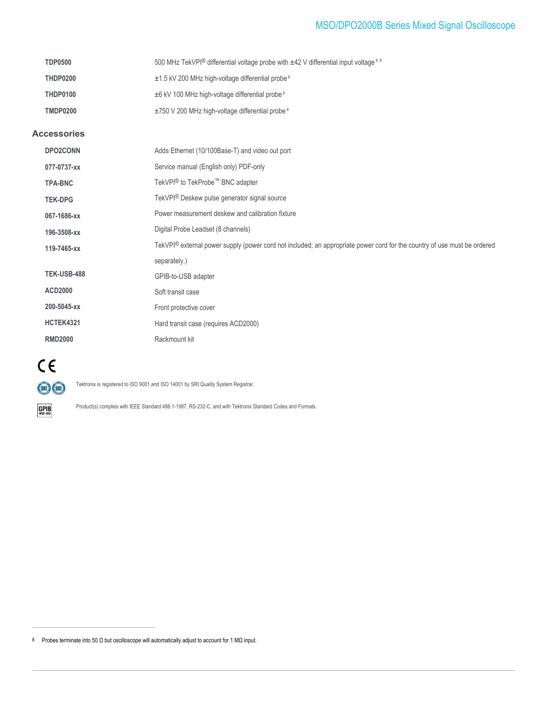### MSO/DPO2000B Series Mixed Signal Oscilloscope

| <b>TDP0500</b> | 500 MHz TekVPI® differential voltage probe with $\pm$ 42 V differential input voltage 6.8 |
|----------------|-------------------------------------------------------------------------------------------|
| THDP0200       | $\pm$ 1.5 kV 200 MHz high-voltage differential probe $6$                                  |
| THDP0100       | $\pm$ 6 kV 100 MHz high-voltage differential probe $6$                                    |
| TMDP0200       | $\pm$ 750 V 200 MHz high-voltage differential probe $6$                                   |

#### **Accessories**

| <b>DPO2CONN</b>    | Adds Ethernet (10/100Base-T) and video out port                                                                          |
|--------------------|--------------------------------------------------------------------------------------------------------------------------|
| 077-0737-xx        | Service manual (English only) PDF-only                                                                                   |
| <b>TPA-BNC</b>     | TekVPI <sup>®</sup> to TekProbe <sup>™</sup> BNC adapter                                                                 |
| <b>TEK-DPG</b>     | TekVPI <sup>®</sup> Deskew pulse generator signal source                                                                 |
| 067-1686-xx        | Power measurement deskew and calibration fixture                                                                         |
| 196-3508-xx        | Digital Probe Leadset (8 channels)                                                                                       |
| 119-7465-xx        | TekVPI® external power supply (power cord not included; an appropriate power cord for the country of use must be ordered |
|                    | separately.)                                                                                                             |
| <b>TEK-USB-488</b> | GPIB-to-USB adapter                                                                                                      |
| <b>ACD2000</b>     | Soft transit case                                                                                                        |
| 200-5045-xx        | Front protective cover                                                                                                   |
| <b>HCTEK4321</b>   | Hard transit case (requires ACD2000)                                                                                     |
| <b>RMD2000</b>     | Rackmount kit                                                                                                            |



 $\underset{\text{IEEE-488}}{\text{GPIB}}$ 

Tektronix is registered to ISO 9001 and ISO 14001 by SRI Quality System Registrar.

Product(s) complies with IEEE Standard 488.1-1987, RS-232-C, and with Tektronix Standard Codes and Formats.

8 Probes terminate into 50 Ω but oscilloscope will automatically adjust to account for 1 MΩ input.